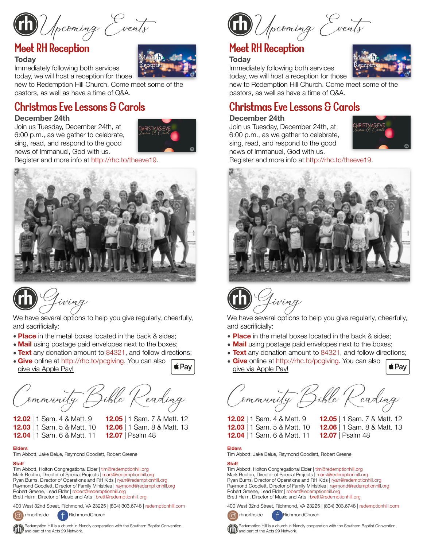Upcoming Events

## Meet RH Reception

#### **Today**



new to Redemption Hill Church. Come meet some of the pastors, as well as have a time of Q&A.

## Christmas Eve Lessons & Carols

### **December 24th**

Join us Tuesday, December 24th, at 6:00 p.m., as we gather to celebrate, sing, read, and respond to the good news of Immanuel, God with us.



Register and more info at [http://rhc.to/theeve19.](http://rhc.to/theeve19)



Giving

We have several options to help you give regularly, cheerfully, and sacrificially:

- **Place** in the metal boxes located in the back & sides;
- **Mail** using postage paid envelopes next to the boxes;
- **Text** any donation amount to 84321, and follow directions;
- **Give** online at <http://rhc.to/pcgiving>. You can also **é** Pav give via Apple Pay!

Commun!y Bible Reading

**12.03** | 1 Sam. 5 & Matt. 10 **12.06** | 1 Sam. 8 & Matt. 13 **12.04** | 1 Sam. 6 & Matt. 11 **12.07** | Psalm 48

**12.02** | 1 Sam. 4 & Matt. 9 **12.05** | 1 Sam. 7 & Matt. 12

**Elders** 

Tim Abbott, Jake Belue, Raymond Goodlett, Robert Greene

#### **Staff**

Tim Abbott, Holton Congregational Elder | [tim@redemptionhill.org](mailto:tim@redemptionhill.org) Mark Becton, Director of Special Projects | [mark@redemptionhill.org](mailto:mark@redemptionhill.org) Ryan Burns, Director of Operations and RH Kids | [ryan@redemptionhill.org](mailto:ryan@redemptionhill.org) Raymond Goodlett, Director of Family Ministries | [raymond@redemptionhill.org](mailto:raymond@redemptionhill.org) Robert Greene, Lead Elder | [robert@redemptionhill.org](mailto:robert@redemptionhill.org) Brett Heim, Director of Music and Arts | [brett@redemptionhill.org](mailto:brett@redemptionhill.org)

400 West 32nd Street, Richmond, VA 23225 | (804) 303.6748 | [redemptionhill.com](http://redemptionhill.com)



con rhnorthside <del>f</del> RichmondChurch



Upcoming Events

# Meet RH Reception

### **Today**

Immediately following both services today, we will host a reception for those

new to Redemption Hill Church. Come meet some of the pastors, as well as have a time of Q&A.

# Christmas Eve Lessons & Carols

## **December 24th**

Join us Tuesday, December 24th, at 6:00 p.m., as we gather to celebrate, sing, read, and respond to the good news of Immanuel, God with us.



Register and more info at <http://rhc.to/theeve19>.





We have several options to help you give regularly, cheerfully, and sacrificially:

- **Place** in the metal boxes located in the back & sides;
- **Mail** using postage paid envelopes next to the boxes;
- **Text** any donation amount to 84321, and follow directions;
- **Give** online at <http://rhc.to/pcgiving>. You can also  $\acute{\mathbf{e}}$  Pav give via Apple Pay!

Commun!y Bible Reading

**12.02** | 1 Sam. 4 & Matt. 9 **12.05** | 1 Sam. 7 & Matt. 12 **12.03** | 1 Sam. 5 & Matt. 10 **12.06** | 1 Sam. 8 & Matt. 13 **12.04** | 1 Sam. 6 & Matt. 11 **12.07** | Psalm 48

#### **Elders**

Tim Abbott, Jake Belue, Raymond Goodlett, Robert Greene

#### **Staff**

Tim Abbott, Holton Congregational Elder | [tim@redemptionhill.org](mailto:tim@redemptionhill.org) Mark Becton, Director of Special Projects | [mark@redemptionhill.org](mailto:mark@redemptionhill.org) Ryan Burns, Director of Operations and RH Kids | [ryan@redemptionhill.org](mailto:ryan@redemptionhill.org) Raymond Goodlett, Director of Family Ministries | [raymond@redemptionhill.org](mailto:raymond@redemptionhill.org) Robert Greene, Lead Elder | [robert@redemptionhill.org](mailto:robert@redemptionhill.org) Brett Heim, Director of Music and Arts | [brett@redemptionhill.org](mailto:brett@redemptionhill.org)

400 West 32nd Street, Richmond, VA 23225 | (804) 303.6748 | [redemptionhill.com](http://redemptionhill.com)





 Redemption Hill is a church in friendly cooperation with the Southern Baptist Convention, and part of the Acts 29 Network.